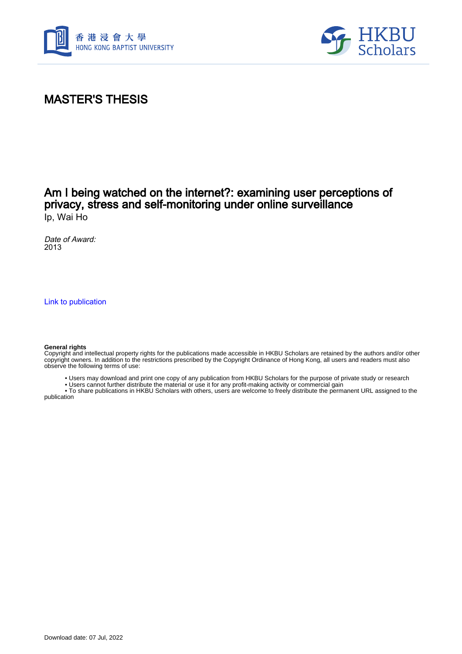



## MASTER'S THESIS

### Am I being watched on the internet?: examining user perceptions of privacy, stress and self-monitoring under online surveillance Ip, Wai Ho

Date of Award: 2013

[Link to publication](https://scholars.hkbu.edu.hk/en/studentTheses/bf84b4c6-2ecd-42f3-9cbc-1cff87d87a60)

#### **General rights**

Copyright and intellectual property rights for the publications made accessible in HKBU Scholars are retained by the authors and/or other copyright owners. In addition to the restrictions prescribed by the Copyright Ordinance of Hong Kong, all users and readers must also observe the following terms of use:

- Users may download and print one copy of any publication from HKBU Scholars for the purpose of private study or research
- Users cannot further distribute the material or use it for any profit-making activity or commercial gain

 • To share publications in HKBU Scholars with others, users are welcome to freely distribute the permanent URL assigned to the publication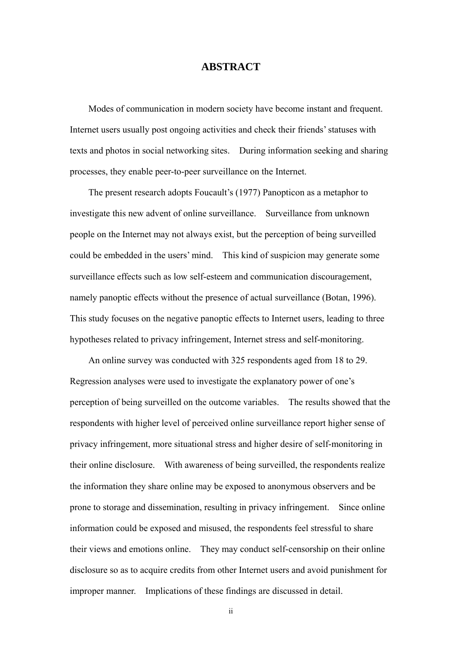### **ABSTRACT**

 Modes of communication in modern society have become instant and frequent. Internet users usually post ongoing activities and check their friends' statuses with texts and photos in social networking sites. During information seeking and sharing processes, they enable peer-to-peer surveillance on the Internet.

The present research adopts Foucault's (1977) Panopticon as a metaphor to investigate this new advent of online surveillance. Surveillance from unknown people on the Internet may not always exist, but the perception of being surveilled could be embedded in the users' mind. This kind of suspicion may generate some surveillance effects such as low self-esteem and communication discouragement, namely panoptic effects without the presence of actual surveillance (Botan, 1996). This study focuses on the negative panoptic effects to Internet users, leading to three hypotheses related to privacy infringement, Internet stress and self-monitoring.

An online survey was conducted with 325 respondents aged from 18 to 29. Regression analyses were used to investigate the explanatory power of one's perception of being surveilled on the outcome variables. The results showed that the respondents with higher level of perceived online surveillance report higher sense of privacy infringement, more situational stress and higher desire of self-monitoring in their online disclosure. With awareness of being surveilled, the respondents realize the information they share online may be exposed to anonymous observers and be prone to storage and dissemination, resulting in privacy infringement. Since online information could be exposed and misused, the respondents feel stressful to share their views and emotions online. They may conduct self-censorship on their online disclosure so as to acquire credits from other Internet users and avoid punishment for improper manner. Implications of these findings are discussed in detail.

ii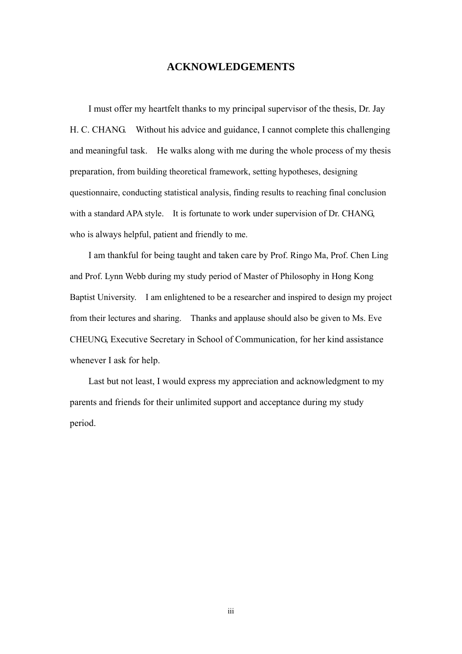### **ACKNOWLEDGEMENTS**

I must offer my heartfelt thanks to my principal supervisor of the thesis, Dr. Jay H. C. CHANG. Without his advice and guidance, I cannot complete this challenging and meaningful task. He walks along with me during the whole process of my thesis preparation, from building theoretical framework, setting hypotheses, designing questionnaire, conducting statistical analysis, finding results to reaching final conclusion with a standard APA style. It is fortunate to work under supervision of Dr. CHANG, who is always helpful, patient and friendly to me.

I am thankful for being taught and taken care by Prof. Ringo Ma, Prof. Chen Ling and Prof. Lynn Webb during my study period of Master of Philosophy in Hong Kong Baptist University. I am enlightened to be a researcher and inspired to design my project from their lectures and sharing. Thanks and applause should also be given to Ms. Eve CHEUNG, Executive Secretary in School of Communication, for her kind assistance whenever I ask for help.

 Last but not least, I would express my appreciation and acknowledgment to my parents and friends for their unlimited support and acceptance during my study period.

iii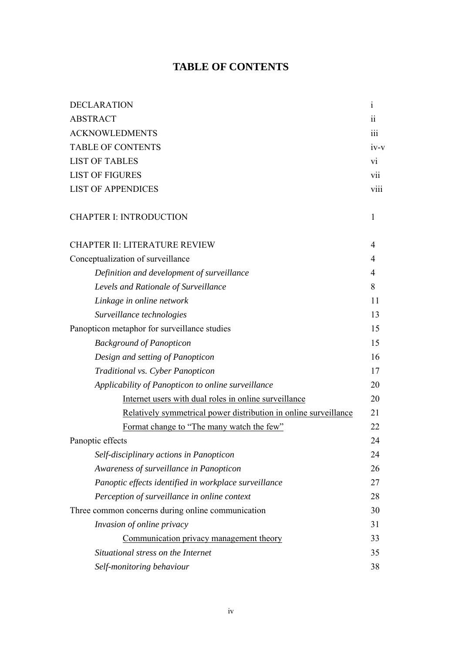# **TABLE OF CONTENTS**

| <b>DECLARATION</b>                                               | $\mathbf{i}$    |
|------------------------------------------------------------------|-----------------|
| <b>ABSTRACT</b>                                                  | $\ddot{\rm n}$  |
| <b>ACKNOWLEDMENTS</b>                                            | iii             |
| <b>TABLE OF CONTENTS</b>                                         | $iv-v$          |
| <b>LIST OF TABLES</b>                                            | $\overline{vi}$ |
| <b>LIST OF FIGURES</b>                                           | vii             |
| <b>LIST OF APPENDICES</b>                                        | viii            |
| <b>CHAPTER I: INTRODUCTION</b>                                   | 1               |
| <b>CHAPTER II: LITERATURE REVIEW</b>                             | 4               |
| Conceptualization of surveillance                                | 4               |
| Definition and development of surveillance                       | $\overline{4}$  |
| Levels and Rationale of Surveillance                             | 8               |
| Linkage in online network                                        | 11              |
| Surveillance technologies                                        | 13              |
| Panopticon metaphor for surveillance studies                     | 15              |
| <b>Background of Panopticon</b>                                  | 15              |
| Design and setting of Panopticon                                 | 16              |
| Traditional vs. Cyber Panopticon                                 | 17              |
| Applicability of Panopticon to online surveillance               | 20              |
| Internet users with dual roles in online surveillance            | 20              |
| Relatively symmetrical power distribution in online surveillance | 21              |
| Format change to "The many watch the few"                        | 22              |
| Panoptic effects                                                 | 24              |
| Self-disciplinary actions in Panopticon                          | 24              |
| Awareness of surveillance in Panopticon                          | 26              |
| Panoptic effects identified in workplace surveillance            | 27              |
| Perception of surveillance in online context                     | 28              |
| Three common concerns during online communication                | 30              |
| Invasion of online privacy                                       | 31              |
| Communication privacy management theory                          | 33              |
| Situational stress on the Internet                               | 35              |
| Self-monitoring behaviour                                        | 38              |